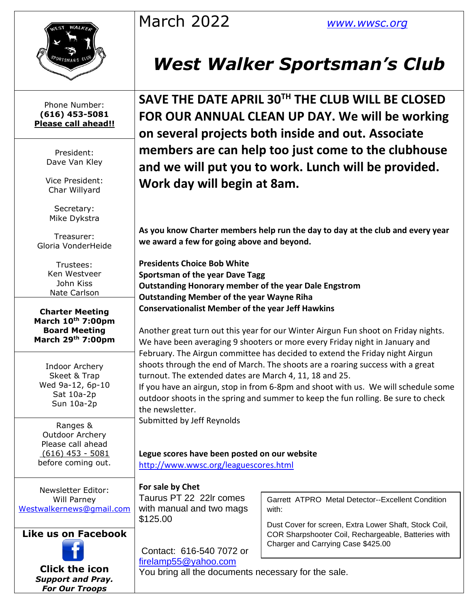| March 2022 |  |
|------------|--|
|------------|--|

March 2022 *[www.wwsc.org](http://www.wwsc.org/)*



Phone Number: **(616) 453-5081 Please call ahead!!**

> President: Dave Van Kley

Vice President: Char Willyard

Secretary: Mike Dykstra

Treasurer: Gloria VonderHeide

> Trustees: Ken Westveer John Kiss Nate Carlson

**Charter Meeting March 10th 7:00pm Board Meeting March 29th 7:00pm**

Indoor Archery Skeet & Trap Wed 9a-12, 6p-10 Sat 10a-2p Sun 10a-2p

Ranges & Outdoor Archery Please call ahead (616) 453 - 5081 before coming out.

Newsletter Editor: Will Parney [Westwalkernews@gmail.com](mailto:Westwalkernews@gmail.com)

### **Like us on Facebook**



**Click [the](http://commons.wikimedia.org/wiki/file:facebook_shiny_icon.svg) icon** *Suppo[rt an](http://commons.wikimedia.org/wiki/file:facebook_shiny_icon.svg)d Pray. For [Our](http://commons.wikimedia.org/wiki/file:facebook_shiny_icon.svg) Troops*

# *West Walker Sportsman's Club*

**SAVE THE DATE APRIL 30TH THE CLUB WILL BE CLOSED FOR OUR ANNUAL CLEAN UP DAY. We will be working on several projects both inside and out. Associate members are can help too just come to the clubhouse and we will put you to work. Lunch will be provided. Work day will begin at 8am.**

**As you know Charter members help run the day to day at the club and every year we award a few for going above and beyond.**

**Presidents Choice Bob White Sportsman of the year Dave Tagg Outstanding Honorary member of the year Dale Engstrom Outstanding Member of the year Wayne Riha Conservationalist Member of the year Jeff Hawkins**

Another great turn out this year for our Winter Airgun Fun shoot on Friday nights. We have been averaging 9 shooters or more every Friday night in January and February. The Airgun committee has decided to extend the Friday night Airgun shoots through the end of March. The shoots are a roaring success with a great turnout. The extended dates are March 4, 11, 18 and 25.

If you have an airgun, stop in from 6-8pm and shoot with us. We will schedule some outdoor shoots in the spring and summer to keep the fun rolling. Be sure to check the newsletter.

Submitted by Jeff Reynolds

#### **Legue scores have been posted on our website**  <http://www.wwsc.org/leaguescores.html>

**For sale by Chet** Taurus PT 22 22lr comes

with manual and two mags \$125.00

Garrett ATPRO Metal Detector--Excellent Condition with:

Dust Cover for screen, Extra Lower Shaft, Stock Coil, COR Sharpshooter Coil, Rechargeable, Batteries with Charger and Carrying Case \$425.00

Contact: 616-540 7072 or [firelamp55@yahoo.com](mailto:firelamp55@yahoo.com)

You bring all the documents necessary for the sale.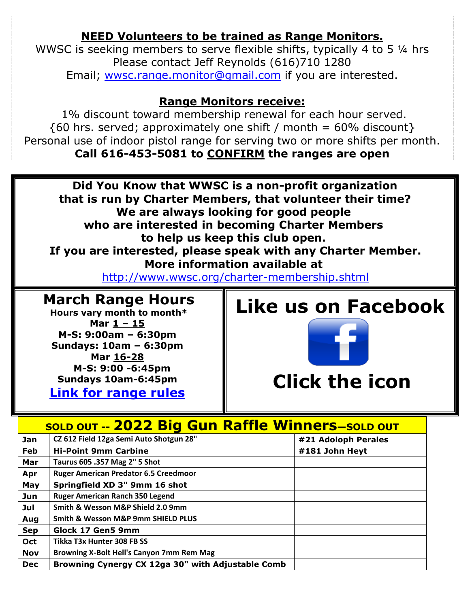# **NEED Volunteers to be trained as Range Monitors.**

WWSC is seeking members to serve flexible shifts, typically 4 to 5 ¼ hrs Please contact Jeff Reynolds (616)710 1280 Email; [wwsc.range.monitor@gmail.com](mailto:wwsc.range.monitor@gmail.com) if you are interested.

## **Range Monitors receive:**

1% discount toward membership renewal for each hour served.  $\{60 \text{ hrs. served}$ ; approximately one shift / month = 60% discount} Personal use of indoor pistol range for serving two or more shifts per month. **Call 616-453-5081 to CONFIRM the ranges are open**



**Clic[k th](http://commons.wikimedia.org/wiki/file:facebook_shiny_icon.svg)e icon**

|            | <b>SOLD OUT -- 2022 Big Gun Raffle Winners-SOLD OUT</b> |                     |  |  |  |  |  |  |  |
|------------|---------------------------------------------------------|---------------------|--|--|--|--|--|--|--|
| Jan        | CZ 612 Field 12ga Semi Auto Shotgun 28"                 | #21 Adoloph Perales |  |  |  |  |  |  |  |
| <b>Feb</b> | <b>Hi-Point 9mm Carbine</b>                             | #181 John Heyt      |  |  |  |  |  |  |  |
| Mar        | Taurus 605 .357 Mag 2" 5 Shot                           |                     |  |  |  |  |  |  |  |
| Apr        | <b>Ruger American Predator 6.5 Creedmoor</b>            |                     |  |  |  |  |  |  |  |
| May        | Springfield XD 3" 9mm 16 shot                           |                     |  |  |  |  |  |  |  |
| Jun        | <b>Ruger American Ranch 350 Legend</b>                  |                     |  |  |  |  |  |  |  |
| Jul        | Smith & Wesson M&P Shield 2.0 9mm                       |                     |  |  |  |  |  |  |  |
| Aug        | Smith & Wesson M&P 9mm SHIELD PLUS                      |                     |  |  |  |  |  |  |  |
| <b>Sep</b> | Glock 17 Gen5 9mm                                       |                     |  |  |  |  |  |  |  |
| Oct        | Tikka T3x Hunter 308 FB SS                              |                     |  |  |  |  |  |  |  |
| <b>Nov</b> | Browning X-Bolt Hell's Canyon 7mm Rem Mag               |                     |  |  |  |  |  |  |  |
| <b>Dec</b> | Browning Cynergy CX 12ga 30" with Adjustable Comb       |                     |  |  |  |  |  |  |  |

**Sundays 10am-6:45pm [Link for range rules](http://www.wwsc.org/img/ranges/RangeRules.pdf)**